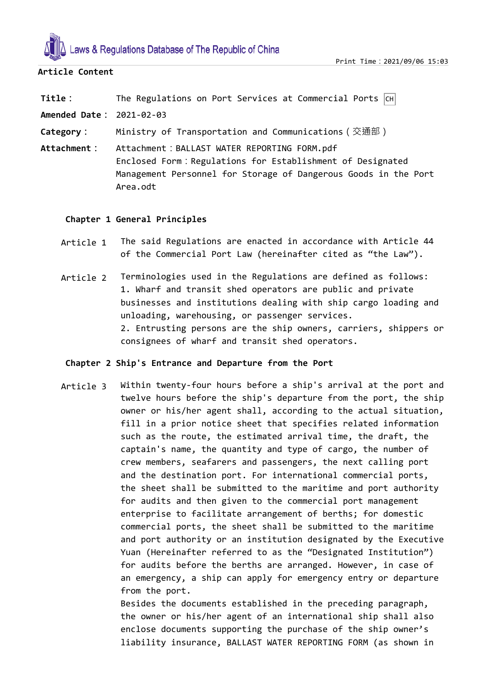

# **Article Content**

**Title**: The Regulations on Port Services at Commercial Ports  $|CH|$ 

**Amended Date:** 2021-02-03

**Category:** Ministry of Transportation and Communications(交通部)

**Attachment:** Attachment:BALLAST WATER REPORTING FORM.pdf Enclosed Form:Regulations for Establishment of Designated Management Personnel for Storage of Dangerous Goods in the Port Area.odt

# **Chapter 1 General Principles**

- Article 1 The said Regulations are enacted in accordance with Article 44 of the Commercial Port Law (hereinafter cited as "the Law").
- Article 2 Terminologies used in the Regulations are defined as follows: 1. Wharf and transit shed operators are public and private businesses and institutions dealing with ship cargo loading and unloading, warehousing, or passenger services. 2. Entrusting persons are the ship owners, carriers, shippers or consignees of wharf and transit shed operators.

# **Chapter 2 Ship's Entrance and Departure from the Port**

Article 3 Within twenty-four hours before a ship's arrival at the port and twelve hours before the ship's departure from the port, the ship owner or his/her agent shall, according to the actual situation, fill in a prior notice sheet that specifies related information such as the route, the estimated arrival time, the draft, the captain's name, the quantity and type of cargo, the number of crew members, seafarers and passengers, the next calling port and the destination port. For international commercial ports, the sheet shall be submitted to the maritime and port authority for audits and then given to the commercial port management enterprise to facilitate arrangement of berths; for domestic commercial ports, the sheet shall be submitted to the maritime and port authority or an institution designated by the Executive Yuan (Hereinafter referred to as the "Designated Institution") for audits before the berths are arranged. However, in case of an emergency, a ship can apply for emergency entry or departure from the port.

> Besides the documents established in the preceding paragraph, the owner or his/her agent of an international ship shall also enclose documents supporting the purchase of the ship owner's liability insurance, BALLAST WATER REPORTING FORM (as shown in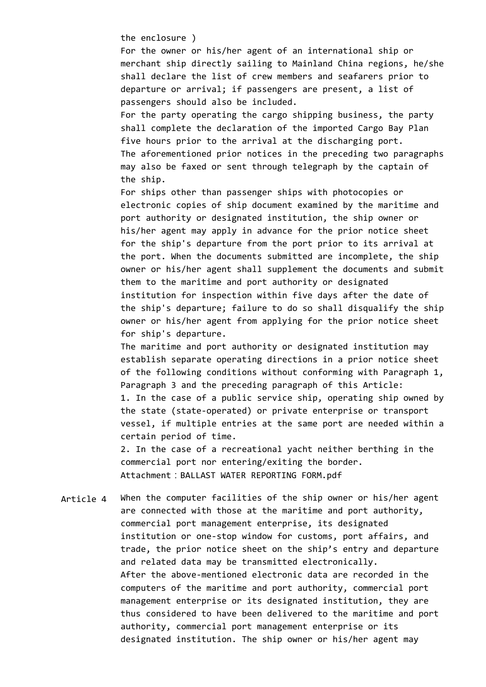the enclosure )

For the owner or his/her agent of an international ship or merchant ship directly sailing to Mainland China regions, he/she shall declare the list of crew members and seafarers prior to departure or arrival; if passengers are present, a list of passengers should also be included.

For the party operating the cargo shipping business, the party shall complete the declaration of the imported Cargo Bay Plan five hours prior to the arrival at the discharging port. The aforementioned prior notices in the preceding two paragraphs may also be faxed or sent through telegraph by the captain of the ship.

For ships other than passenger ships with photocopies or electronic copies of ship document examined by the maritime and port authority or designated institution, the ship owner or his/her agent may apply in advance for the prior notice sheet for the ship's departure from the port prior to its arrival at the port. When the documents submitted are incomplete, the ship owner or his/her agent shall supplement the documents and submit them to the maritime and port authority or designated institution for inspection within five days after the date of the ship's departure; failure to do so shall disqualify the ship owner or his/her agent from applying for the prior notice sheet for ship's departure.

The maritime and port authority or designated institution may establish separate operating directions in a prior notice sheet of the following conditions without conforming with Paragraph 1, Paragraph 3 and the preceding paragraph of this Article: 1. In the case of a public service ship, operating ship owned by the state (state-operated) or private enterprise or transport vessel, if multiple entries at the same port are needed within a certain period of time.

2. In the case of a recreational yacht neither berthing in the commercial port nor entering/exiting the border. Attachment: BALLAST WATER REPORTING FORM.pdf

Article 4 When the computer facilities of the ship owner or his/her agent are connected with those at the maritime and port authority, commercial port management enterprise, its designated institution or one-stop window for customs, port affairs, and trade, the prior notice sheet on the ship's entry and departure and related data may be transmitted electronically. After the above-mentioned electronic data are recorded in the computers of the maritime and port authority, commercial port management enterprise or its designated institution, they are thus considered to have been delivered to the maritime and port authority, commercial port management enterprise or its designated institution. The ship owner or his/her agent may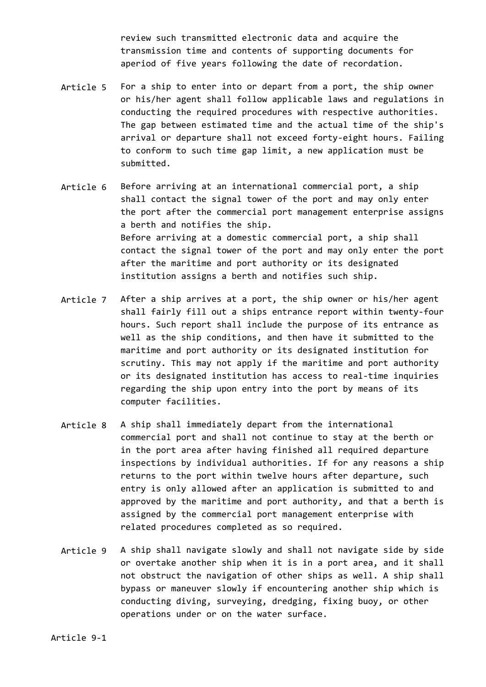review such transmitted electronic data and acquire the transmission time and contents of supporting documents for aperiod of five years following the date of recordation.

- Article 5 For a ship to enter into or depart from a port, the ship owner or his/her agent shall follow applicable laws and regulations in conducting the required procedures with respective authorities. The gap between estimated time and the actual time of the ship's arrival or departure shall not exceed forty-eight hours. Failing to conform to such time gap limit, a new application must be submitted.
- Article 6 Before arriving at an international commercial port, a ship shall contact the signal tower of the port and may only enter the port after the commercial port management enterprise assigns a berth and notifies the ship. Before arriving at a domestic commercial port, a ship shall contact the signal tower of the port and may only enter the port after the maritime and port authority or its designated institution assigns a berth and notifies such ship.
- Article 7 After a ship arrives at a port, the ship owner or his/her agent shall fairly fill out a ships entrance report within twenty-four hours. Such report shall include the purpose of its entrance as well as the ship conditions, and then have it submitted to the maritime and port authority or its designated institution for scrutiny. This may not apply if the maritime and port authority or its designated institution has access to real-time inquiries regarding the ship upon entry into the port by means of its computer facilities.
- Article 8 A ship shall immediately depart from the international commercial port and shall not continue to stay at the berth or in the port area after having finished all required departure inspections by individual authorities. If for any reasons a ship returns to the port within twelve hours after departure, such entry is only allowed after an application is submitted to and approved by the maritime and port authority, and that a berth is assigned by the commercial port management enterprise with related procedures completed as so required.
- Article 9 A ship shall navigate slowly and shall not navigate side by side or overtake another ship when it is in a port area, and it shall not obstruct the navigation of other ships as well. A ship shall bypass or maneuver slowly if encountering another ship which is conducting diving, surveying, dredging, fixing buoy, or other operations under or on the water surface.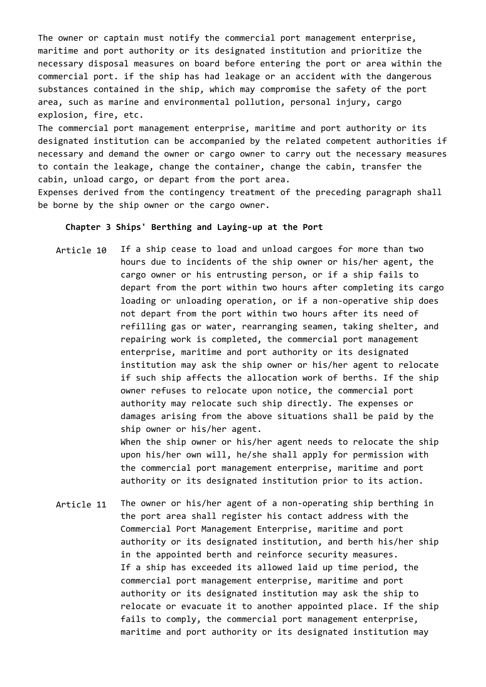The owner or captain must notify the commercial port management enterprise, maritime and port authority or its designated institution and prioritize the necessary disposal measures on board before entering the port or area within the commercial port. if the ship has had leakage or an accident with the dangerous substances contained in the ship, which may compromise the safety of the port area, such as marine and environmental pollution, personal injury, cargo explosion, fire, etc.

The commercial port management enterprise, maritime and port authority or its designated institution can be accompanied by the related competent authorities if necessary and demand the owner or cargo owner to carry out the necessary measures to contain the leakage, change the container, change the cabin, transfer the cabin, unload cargo, or depart from the port area.

Expenses derived from the contingency treatment of the preceding paragraph shall be borne by the ship owner or the cargo owner.

### **Chapter 3 Ships' Berthing and Laying-up at the Port**

Article 10 If a ship cease to load and unload cargoes for more than two hours due to incidents of the ship owner or his/her agent, the cargo owner or his entrusting person, or if a ship fails to depart from the port within two hours after completing its cargo loading or unloading operation, or if a non-operative ship does not depart from the port within two hours after its need of refilling gas or water, rearranging seamen, taking shelter, and repairing work is completed, the commercial port management enterprise, maritime and port authority or its designated institution may ask the ship owner or his/her agent to relocate if such ship affects the allocation work of berths. If the ship owner refuses to relocate upon notice, the commercial port authority may relocate such ship directly. The expenses or damages arising from the above situations shall be paid by the ship owner or his/her agent. When the ship owner or his/her agent needs to relocate the ship upon his/her own will, he/she shall apply for permission with

the commercial port management enterprise, maritime and port authority or its designated institution prior to its action.

Article 11 The owner or his/her agent of a non-operating ship berthing in the port area shall register his contact address with the Commercial Port Management Enterprise, maritime and port authority or its designated institution, and berth his/her ship in the appointed berth and reinforce security measures. If a ship has exceeded its allowed laid up time period, the commercial port management enterprise, maritime and port authority or its designated institution may ask the ship to relocate or evacuate it to another appointed place. If the ship fails to comply, the commercial port management enterprise, maritime and port authority or its designated institution may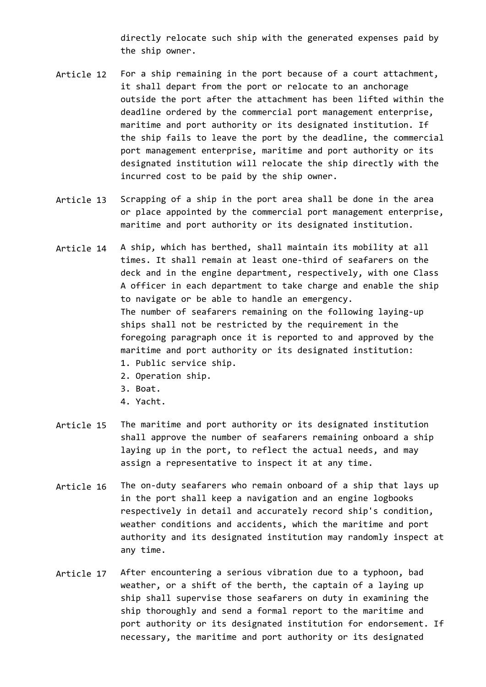directly relocate such ship with the generated expenses paid by the ship owner.

- Article 12 For a ship remaining in the port because of a court attachment, it shall depart from the port or relocate to an anchorage outside the port after the attachment has been lifted within the deadline ordered by the commercial port management enterprise, maritime and port authority or its designated institution. If the ship fails to leave the port by the deadline, the commercial port management enterprise, maritime and port authority or its designated institution will relocate the ship directly with the incurred cost to be paid by the ship owner.
- Article 13 Scrapping of a ship in the port area shall be done in the area or place appointed by the commercial port management enterprise, maritime and port authority or its designated institution.
- Article 14 A ship, which has berthed, shall maintain its mobility at all times. It shall remain at least one-third of seafarers on the deck and in the engine department, respectively, with one Class A officer in each department to take charge and enable the ship to navigate or be able to handle an emergency. The number of seafarers remaining on the following laying-up ships shall not be restricted by the requirement in the foregoing paragraph once it is reported to and approved by the maritime and port authority or its designated institution: 1. Public service ship.
	- 2. Operation ship.
	- 3. Boat.
	- 4. Yacht.
- Article 15 The maritime and port authority or its designated institution shall approve the number of seafarers remaining onboard a ship laying up in the port, to reflect the actual needs, and may assign a representative to inspect it at any time.
- Article 16 The on-duty seafarers who remain onboard of a ship that lays up in the port shall keep a navigation and an engine logbooks respectively in detail and accurately record ship's condition, weather conditions and accidents, which the maritime and port authority and its designated institution may randomly inspect at any time.
- Article 17 After encountering a serious vibration due to a typhoon, bad weather, or a shift of the berth, the captain of a laying up ship shall supervise those seafarers on duty in examining the ship thoroughly and send a formal report to the maritime and port authority or its designated institution for endorsement. If necessary, the maritime and port authority or its designated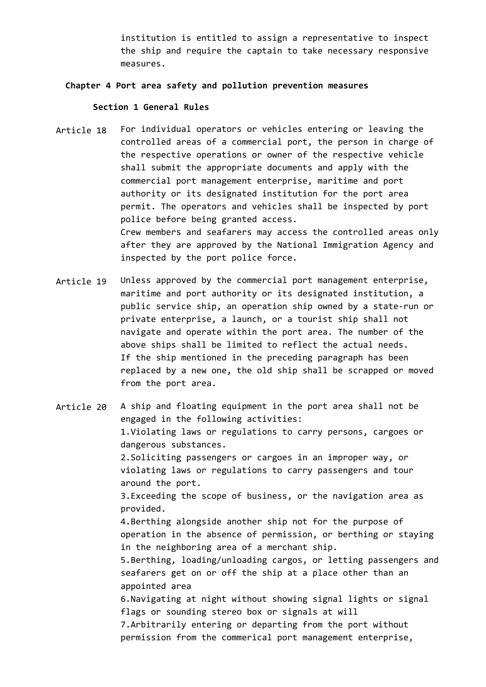institution is entitled to assign a representative to inspect the ship and require the captain to take necessary responsive measures.

### **Chapter 4 Port area safety and pollution prevention measures**

#### **Section 1 General Rules**

- Article 18 For individual operators or vehicles entering or leaving the controlled areas of a commercial port, the person in charge of the respective operations or owner of the respective vehicle shall submit the appropriate documents and apply with the commercial port management enterprise, maritime and port authority or its designated institution for the port area permit. The operators and vehicles shall be inspected by port police before being granted access. Crew members and seafarers may access the controlled areas only after they are approved by the National Immigration Agency and inspected by the port police force.
- Article 19 Unless approved by the commercial port management enterprise, maritime and port authority or its designated institution, a public service ship, an operation ship owned by a state-run or private enterprise, a launch, or a tourist ship shall not navigate and operate within the port area. The number of the above ships shall be limited to reflect the actual needs. If the ship mentioned in the preceding paragraph has been replaced by a new one, the old ship shall be scrapped or moved from the port area.

Article 20 A ship and floating equipment in the port area shall not be engaged in the following activities: 1.Violating laws or regulations to carry persons, cargoes or dangerous substances. 2.Soliciting passengers or cargoes in an improper way, or violating laws or regulations to carry passengers and tour around the port. 3.Exceeding the scope of business, or the navigation area as provided. 4.Berthing alongside another ship not for the purpose of operation in the absence of permission, or berthing or staying in the neighboring area of a merchant ship. 5.Berthing, loading/unloading cargos, or letting passengers and seafarers get on or off the ship at a place other than an appointed area 6.Navigating at night without showing signal lights or signal flags or sounding stereo box or signals at will 7.Arbitrarily entering or departing from the port without permission from the commerical port management enterprise,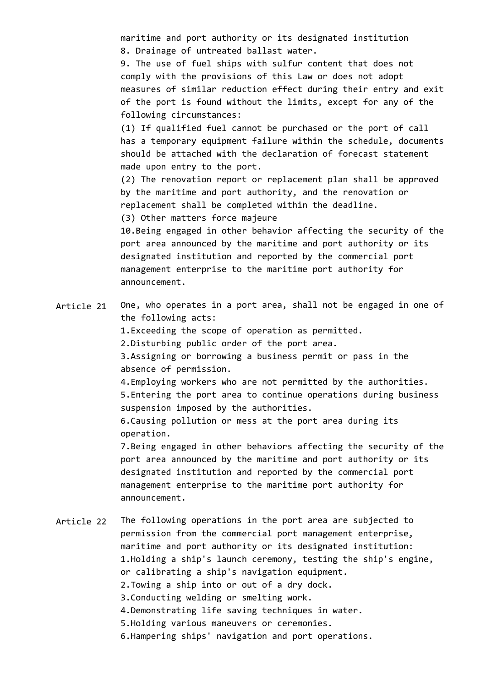maritime and port authority or its designated institution 8. Drainage of untreated ballast water.

9. The use of fuel ships with sulfur content that does not comply with the provisions of this Law or does not adopt measures of similar reduction effect during their entry and exit of the port is found without the limits, except for any of the following circumstances:

(1) If qualified fuel cannot be purchased or the port of call has a temporary equipment failure within the schedule, documents should be attached with the declaration of forecast statement made upon entry to the port.

(2) The renovation report or replacement plan shall be approved by the maritime and port authority, and the renovation or replacement shall be completed within the deadline.

(3) Other matters force majeure

10.Being engaged in other behavior affecting the security of the port area announced by the maritime and port authority or its designated institution and reported by the commercial port management enterprise to the maritime port authority for announcement.

Article 21 One, who operates in a port area, shall not be engaged in one of the following acts:

1.Exceeding the scope of operation as permitted.

2.Disturbing public order of the port area.

3.Assigning or borrowing a business permit or pass in the absence of permission.

4.Employing workers who are not permitted by the authorities. 5.Entering the port area to continue operations during business suspension imposed by the authorities.

6.Causing pollution or mess at the port area during its operation.

7.Being engaged in other behaviors affecting the security of the port area announced by the maritime and port authority or its designated institution and reported by the commercial port management enterprise to the maritime port authority for announcement.

Article 22 The following operations in the port area are subjected to permission from the commercial port management enterprise, maritime and port authority or its designated institution: 1.Holding a ship's launch ceremony, testing the ship's engine, or calibrating a ship's navigation equipment. 2.Towing a ship into or out of a dry dock. 3.Conducting welding or smelting work. 4.Demonstrating life saving techniques in water. 5.Holding various maneuvers or ceremonies. 6.Hampering ships' navigation and port operations.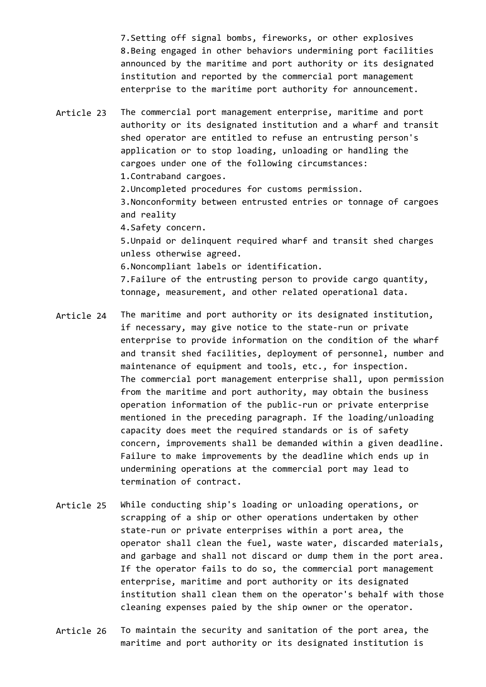7.Setting off signal bombs, fireworks, or other explosives 8.Being engaged in other behaviors undermining port facilities announced by the maritime and port authority or its designated institution and reported by the commercial port management enterprise to the maritime port authority for announcement.

Article 23 The commercial port management enterprise, maritime and port authority or its designated institution and a wharf and transit shed operator are entitled to refuse an entrusting person's application or to stop loading, unloading or handling the cargoes under one of the following circumstances: 1.Contraband cargoes. 2.Uncompleted procedures for customs permission.

3.Nonconformity between entrusted entries or tonnage of cargoes and reality

4.Safety concern.

5.Unpaid or delinquent required wharf and transit shed charges unless otherwise agreed.

6.Noncompliant labels or identification.

7.Failure of the entrusting person to provide cargo quantity, tonnage, measurement, and other related operational data.

- Article 24 The maritime and port authority or its designated institution, if necessary, may give notice to the state-run or private enterprise to provide information on the condition of the wharf and transit shed facilities, deployment of personnel, number and maintenance of equipment and tools, etc., for inspection. The commercial port management enterprise shall, upon permission from the maritime and port authority, may obtain the business operation information of the public-run or private enterprise mentioned in the preceding paragraph. If the loading/unloading capacity does meet the required standards or is of safety concern, improvements shall be demanded within a given deadline. Failure to make improvements by the deadline which ends up in undermining operations at the commercial port may lead to termination of contract.
- Article 25 While conducting ship's loading or unloading operations, or scrapping of a ship or other operations undertaken by other state-run or private enterprises within a port area, the operator shall clean the fuel, waste water, discarded materials, and garbage and shall not discard or dump them in the port area. If the operator fails to do so, the commercial port management enterprise, maritime and port authority or its designated institution shall clean them on the operator's behalf with those cleaning expenses paied by the ship owner or the operator.
- Article 26 To maintain the security and sanitation of the port area, the maritime and port authority or its designated institution is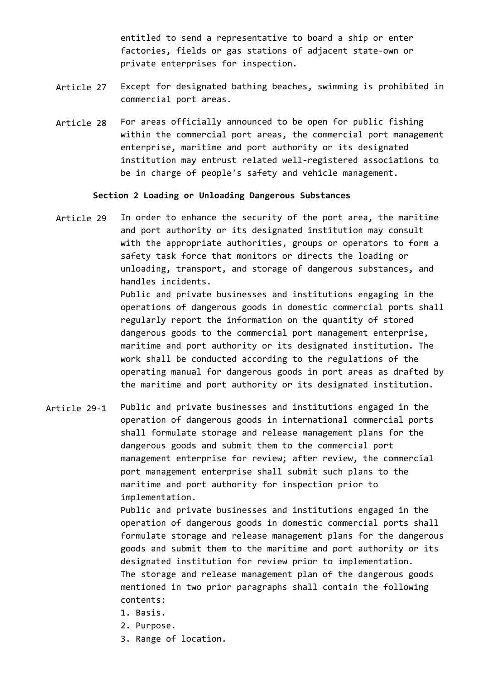entitled to send a representative to board a ship or enter factories, fields or gas stations of adjacent state-own or private enterprises for inspection.

- Article 27 Except for designated bathing beaches, swimming is prohibited in commercial port areas.
- Article 28 For areas officially announced to be open for public fishing within the commercial port areas, the commercial port management enterprise, maritime and port authority or its designated institution may entrust related well-registered associations to be in charge of people's safety and vehicle management.

### **Section 2 Loading or Unloading Dangerous Substances**

Article 29 In order to enhance the security of the port area, the maritime and port authority or its designated institution may consult with the appropriate authorities, groups or operators to form a safety task force that monitors or directs the loading or unloading, transport, and storage of dangerous substances, and handles incidents.

> Public and private businesses and institutions engaging in the operations of dangerous goods in domestic commercial ports shall regularly report the information on the quantity of stored dangerous goods to the commercial port management enterprise, maritime and port authority or its designated institution. The work shall be conducted according to the regulations of the operating manual for dangerous goods in port areas as drafted by the maritime and port authority or its designated institution.

Article 29-1 Public and private businesses and institutions engaged in the operation of dangerous goods in international commercial ports shall formulate storage and release management plans for the dangerous goods and submit them to the commercial port management enterprise for review; after review, the commercial port management enterprise shall submit such plans to the maritime and port authority for inspection prior to implementation.

> Public and private businesses and institutions engaged in the operation of dangerous goods in domestic commercial ports shall formulate storage and release management plans for the dangerous goods and submit them to the maritime and port authority or its designated institution for review prior to implementation. The storage and release management plan of the dangerous goods mentioned in two prior paragraphs shall contain the following contents:

- 1. Basis.
- 2. Purpose.
- 3. Range of location.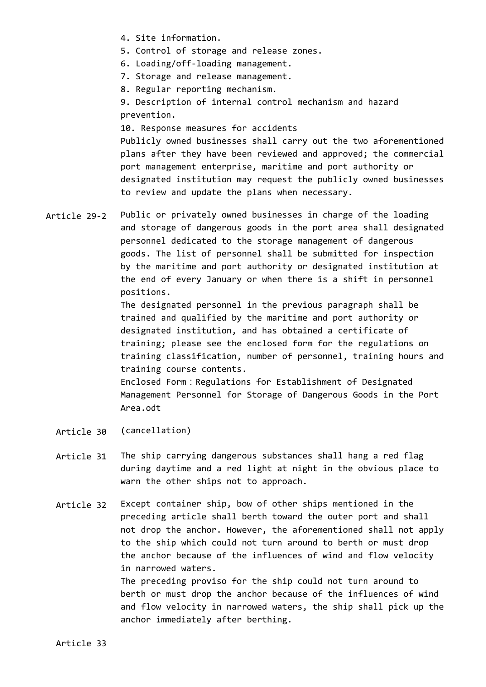- 4. Site information.
- 5. Control of storage and release zones.
- 6. Loading/off-loading management.
- 7. Storage and release management.
- 8. Regular reporting mechanism.

9. Description of internal control mechanism and hazard prevention.

10. Response measures for accidents Publicly owned businesses shall carry out the two aforementioned plans after they have been reviewed and approved; the commercial port management enterprise, maritime and port authority or designated institution may request the publicly owned businesses to review and update the plans when necessary.

Article 29-2 Public or privately owned businesses in charge of the loading and storage of dangerous goods in the port area shall designated personnel dedicated to the storage management of dangerous goods. The list of personnel shall be submitted for inspection by the maritime and port authority or designated institution at the end of every January or when there is a shift in personnel positions.

> The designated personnel in the previous paragraph shall be trained and qualified by the maritime and port authority or designated institution, and has obtained a certificate of training; please see the enclosed form for the regulations on training classification, number of personnel, training hours and training course contents.

Enclosed Form:Regulations for Establishment of Designated Management Personnel for Storage of Dangerous Goods in the Port Area.odt

- Article 30 (cancellation)
- Article 31 The ship carrying dangerous substances shall hang a red flag during daytime and a red light at night in the obvious place to warn the other ships not to approach.
- Article 32 Except container ship, bow of other ships mentioned in the preceding article shall berth toward the outer port and shall not drop the anchor. However, the aforementioned shall not apply to the ship which could not turn around to berth or must drop the anchor because of the influences of wind and flow velocity in narrowed waters.

The preceding proviso for the ship could not turn around to berth or must drop the anchor because of the influences of wind and flow velocity in narrowed waters, the ship shall pick up the anchor immediately after berthing.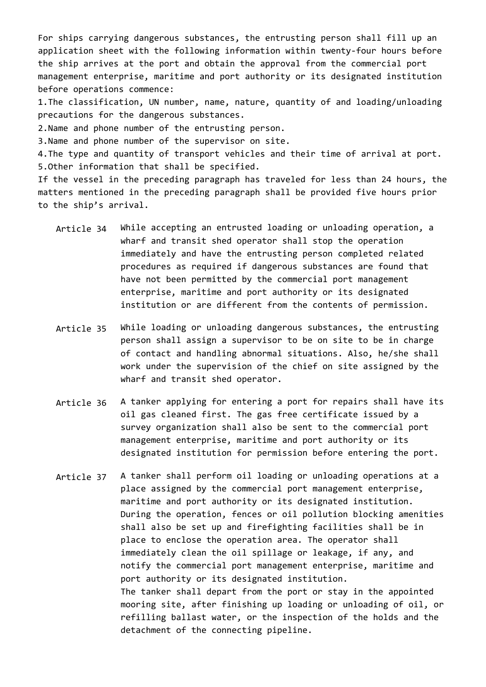For ships carrying dangerous substances, the entrusting person shall fill up an application sheet with the following information within twenty-four hours before the ship arrives at the port and obtain the approval from the commercial port management enterprise, maritime and port authority or its designated institution before operations commence:

1.The classification, UN number, name, nature, quantity of and loading/unloading precautions for the dangerous substances.

2.Name and phone number of the entrusting person.

3.Name and phone number of the supervisor on site.

4.The type and quantity of transport vehicles and their time of arrival at port. 5.Other information that shall be specified.

If the vessel in the preceding paragraph has traveled for less than 24 hours, the matters mentioned in the preceding paragraph shall be provided five hours prior to the ship's arrival.

- Article 34 While accepting an entrusted loading or unloading operation, a wharf and transit shed operator shall stop the operation immediately and have the entrusting person completed related procedures as required if dangerous substances are found that have not been permitted by the commercial port management enterprise, maritime and port authority or its designated institution or are different from the contents of permission.
- Article 35 While loading or unloading dangerous substances, the entrusting person shall assign a supervisor to be on site to be in charge of contact and handling abnormal situations. Also, he/she shall work under the supervision of the chief on site assigned by the wharf and transit shed operator.
- Article 36 A tanker applying for entering a port for repairs shall have its oil gas cleaned first. The gas free certificate issued by a survey organization shall also be sent to the commercial port management enterprise, maritime and port authority or its designated institution for permission before entering the port.
- Article 37 A tanker shall perform oil loading or unloading operations at a place assigned by the commercial port management enterprise, maritime and port authority or its designated institution. During the operation, fences or oil pollution blocking amenities shall also be set up and firefighting facilities shall be in place to enclose the operation area. The operator shall immediately clean the oil spillage or leakage, if any, and notify the commercial port management enterprise, maritime and port authority or its designated institution. The tanker shall depart from the port or stay in the appointed mooring site, after finishing up loading or unloading of oil, or refilling ballast water, or the inspection of the holds and the detachment of the connecting pipeline.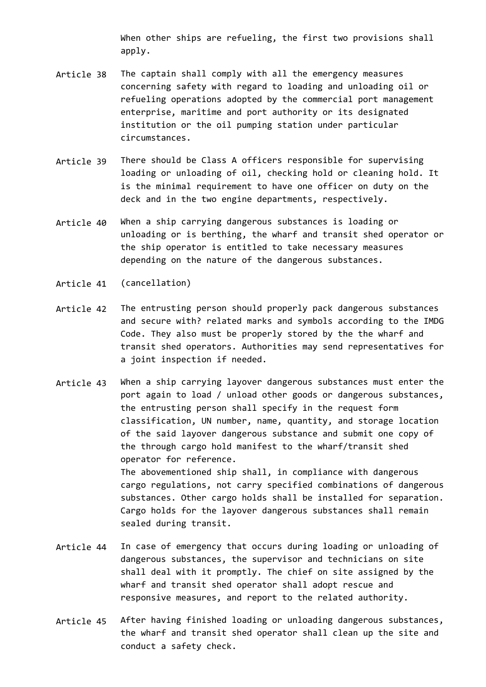When other ships are refueling, the first two provisions shall apply.

- Article 38 The captain shall comply with all the emergency measures concerning safety with regard to loading and unloading oil or refueling operations adopted by the commercial port management enterprise, maritime and port authority or its designated institution or the oil pumping station under particular circumstances.
- Article 39 There should be Class A officers responsible for supervising loading or unloading of oil, checking hold or cleaning hold. It is the minimal requirement to have one officer on duty on the deck and in the two engine departments, respectively.
- Article 40 When a ship carrying dangerous substances is loading or unloading or is berthing, the wharf and transit shed operator or the ship operator is entitled to take necessary measures depending on the nature of the dangerous substances.
- Article 41 (cancellation)
- Article 42 The entrusting person should properly pack dangerous substances and secure with? related marks and symbols according to the IMDG Code. They also must be properly stored by the the wharf and transit shed operators. Authorities may send representatives for a joint inspection if needed.
- Article 43 When a ship carrying layover dangerous substances must enter the port again to load / unload other goods or dangerous substances, the entrusting person shall specify in the request form classification, UN number, name, quantity, and storage location of the said layover dangerous substance and submit one copy of the through cargo hold manifest to the wharf/transit shed operator for reference. The abovementioned ship shall, in compliance with dangerous cargo regulations, not carry specified combinations of dangerous substances. Other cargo holds shall be installed for separation. Cargo holds for the layover dangerous substances shall remain sealed during transit.
- Article 44 In case of emergency that occurs during loading or unloading of dangerous substances, the supervisor and technicians on site shall deal with it promptly. The chief on site assigned by the wharf and transit shed operator shall adopt rescue and responsive measures, and report to the related authority.
- Article 45 After having finished loading or unloading dangerous substances, the wharf and transit shed operator shall clean up the site and conduct a safety check.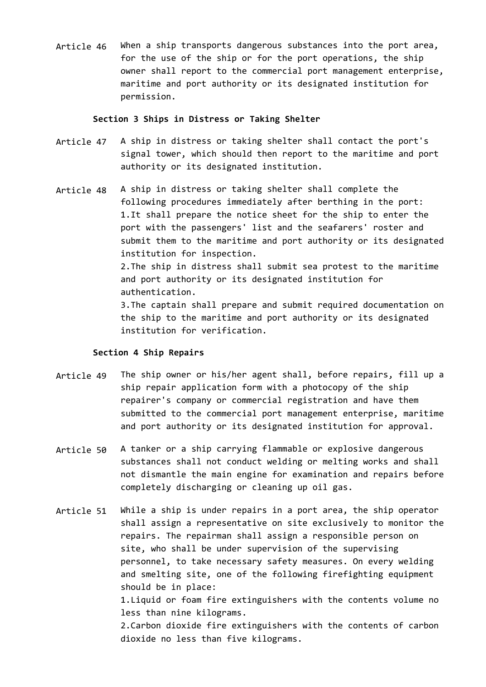Article 46 When a ship transports dangerous substances into the port area, for the use of the ship or for the port operations, the ship owner shall report to the commercial port management enterprise, maritime and port authority or its designated institution for permission.

#### **Section 3 Ships in Distress or Taking Shelter**

- Article 47 A ship in distress or taking shelter shall contact the port's signal tower, which should then report to the maritime and port authority or its designated institution.
- Article 48 A ship in distress or taking shelter shall complete the following procedures immediately after berthing in the port: 1.It shall prepare the notice sheet for the ship to enter the port with the passengers' list and the seafarers' roster and submit them to the maritime and port authority or its designated institution for inspection. 2.The ship in distress shall submit sea protest to the maritime and port authority or its designated institution for authentication.

3.The captain shall prepare and submit required documentation on the ship to the maritime and port authority or its designated institution for verification.

# **Section 4 Ship Repairs**

- Article 49 The ship owner or his/her agent shall, before repairs, fill up a ship repair application form with a photocopy of the ship repairer's company or commercial registration and have them submitted to the commercial port management enterprise, maritime and port authority or its designated institution for approval.
- Article 50 A tanker or a ship carrying flammable or explosive dangerous substances shall not conduct welding or melting works and shall not dismantle the main engine for examination and repairs before completely discharging or cleaning up oil gas.
- Article 51 While a ship is under repairs in a port area, the ship operator shall assign a representative on site exclusively to monitor the repairs. The repairman shall assign a responsible person on site, who shall be under supervision of the supervising personnel, to take necessary safety measures. On every welding and smelting site, one of the following firefighting equipment should be in place: 1.Liquid or foam fire extinguishers with the contents volume no less than nine kilograms. 2.Carbon dioxide fire extinguishers with the contents of carbon

dioxide no less than five kilograms.